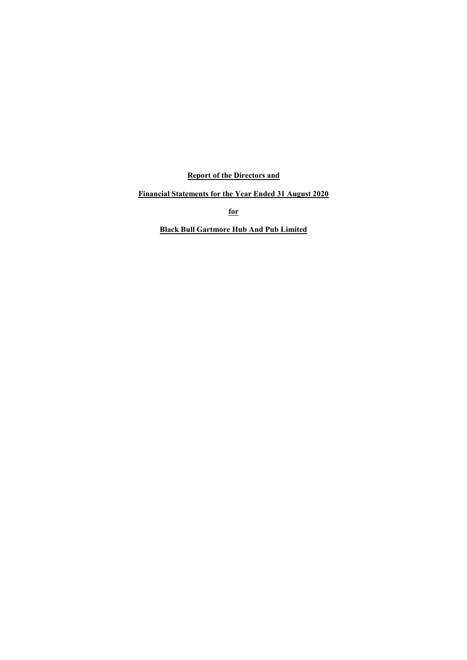**Report of the Directors and**

**Financial Statements for the Year Ended 31 August 2020**

**for**

**Black Bull Gartmore Hub And Pub Limited**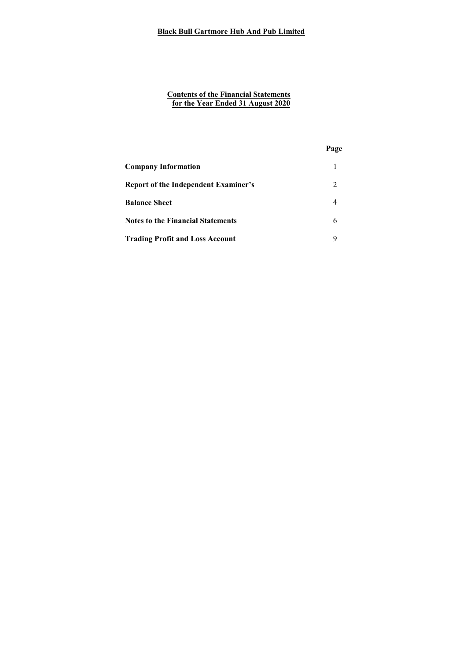#### **Contents of the Financial Statements for the Year Ended 31 August 2020**

|                                             | Page |
|---------------------------------------------|------|
| <b>Company Information</b>                  |      |
| <b>Report of the Independent Examiner's</b> | 2    |
| <b>Balance Sheet</b>                        |      |
| <b>Notes to the Financial Statements</b>    | 6    |
| <b>Trading Profit and Loss Account</b>      | 9    |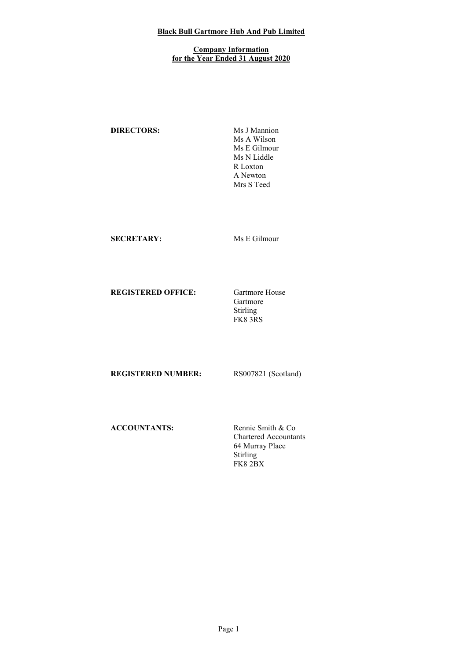### **Company Information for the Year Ended 31 August 2020**

**DIRECTORS:** Ms J Mannion

Ms A Wilson Ms E Gilmour Ms N Liddle R Loxton A Newton Mrs S Teed

# **SECRETARY:** Ms E Gilmour

**REGISTERED OFFICE:** Gartmore House

Gartmore Stirling FK8 3RS

**REGISTERED NUMBER:** RS007821 (Scotland)

**ACCOUNTANTS:** Rennie Smith & Co

Chartered Accountants 64 Murray Place Stirling FK8 2BX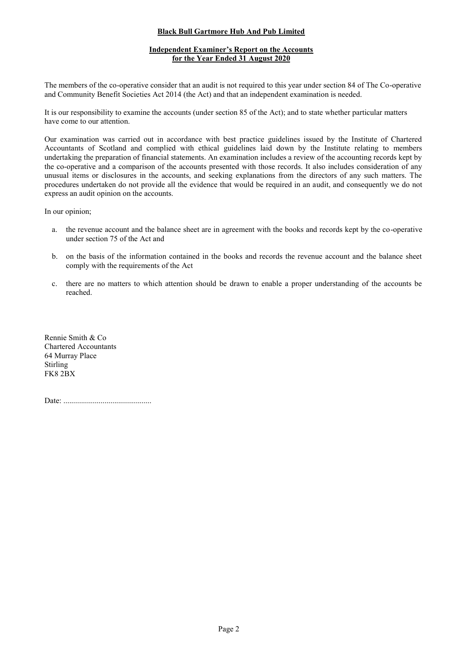# **Independent Examiner's Report on the Accounts for the Year Ended 31 August 2020**

The members of the co-operative consider that an audit is not required to this year under section 84 of The Co-operative and Community Benefit Societies Act 2014 (the Act) and that an independent examination is needed.

It is our responsibility to examine the accounts (under section 85 of the Act); and to state whether particular matters have come to our attention.

Our examination was carried out in accordance with best practice guidelines issued by the Institute of Chartered Accountants of Scotland and complied with ethical guidelines laid down by the Institute relating to members undertaking the preparation of financial statements. An examination includes a review of the accounting records kept by the co-operative and a comparison of the accounts presented with those records. It also includes consideration of any unusual items or disclosures in the accounts, and seeking explanations from the directors of any such matters. The procedures undertaken do not provide all the evidence that would be required in an audit, and consequently we do not express an audit opinion on the accounts.

In our opinion;

- a. the revenue account and the balance sheet are in agreement with the books and records kept by the co-operative under section 75 of the Act and
- b. on the basis of the information contained in the books and records the revenue account and the balance sheet comply with the requirements of the Act
- c. there are no matters to which attention should be drawn to enable a proper understanding of the accounts be reached.

Rennie Smith & Co Chartered Accountants 64 Murray Place Stirling FK8 2BX

Date: .............................................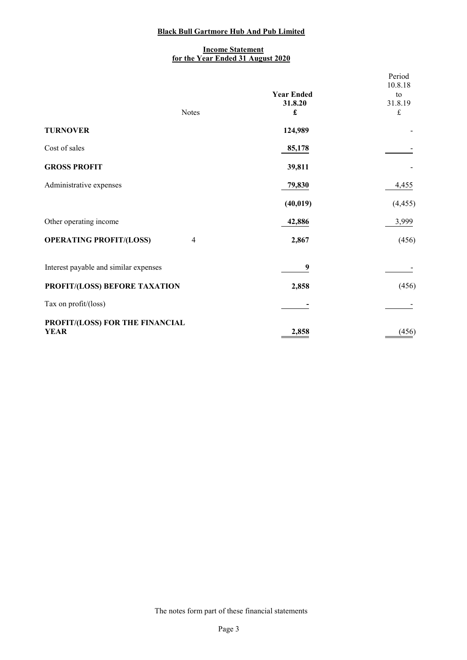### **Income Statement for the Year Ended 31 August 2020**

|                                                |                   | Period<br>10.8.18 |
|------------------------------------------------|-------------------|-------------------|
|                                                | <b>Year Ended</b> | to                |
|                                                | 31.8.20           | 31.8.19           |
| <b>Notes</b>                                   | £                 | £                 |
| <b>TURNOVER</b>                                | 124,989           |                   |
| Cost of sales                                  | 85,178            |                   |
| <b>GROSS PROFIT</b>                            | 39,811            |                   |
| Administrative expenses                        | 79,830            | 4,455             |
|                                                | (40, 019)         | (4, 455)          |
| Other operating income                         | 42,886            | 3,999             |
| <b>OPERATING PROFIT/(LOSS)</b><br>4            | 2,867             | (456)             |
| Interest payable and similar expenses          | 9                 |                   |
| PROFIT/(LOSS) BEFORE TAXATION                  | 2,858             | (456)             |
| Tax on profit/(loss)                           |                   |                   |
| PROFIT/(LOSS) FOR THE FINANCIAL<br><b>YEAR</b> | 2,858             | (456)             |

The notes form part of these financial statements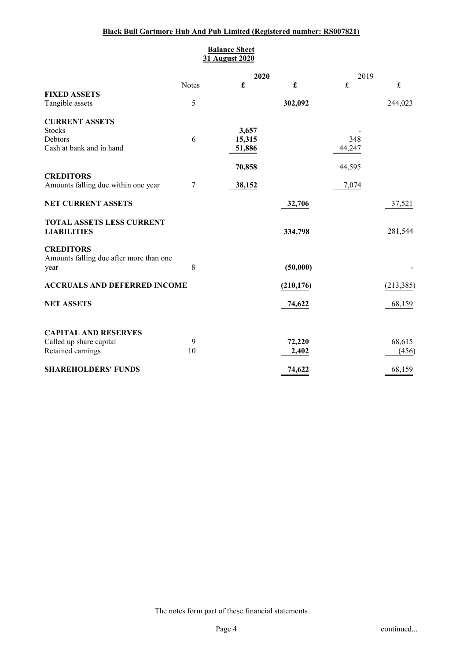# **Black Bull Gartmore Hub And Pub Limited (Registered number: RS007821)**

|                                                 |              | <b>Balance Sheet</b><br>31 August 2020 |            |        |            |
|-------------------------------------------------|--------------|----------------------------------------|------------|--------|------------|
|                                                 |              | 2020                                   |            | 2019   |            |
|                                                 | <b>Notes</b> | £                                      | £          | £      | £          |
| <b>FIXED ASSETS</b><br>Tangible assets          | 5            |                                        | 302,092    |        | 244,023    |
| <b>CURRENT ASSETS</b>                           |              |                                        |            |        |            |
| <b>Stocks</b>                                   |              | 3,657                                  |            |        |            |
| Debtors                                         | 6            | 15,315                                 |            | 348    |            |
| Cash at bank and in hand                        |              | 51,886                                 |            | 44,247 |            |
|                                                 |              | 70,858                                 |            | 44,595 |            |
| <b>CREDITORS</b>                                |              |                                        |            |        |            |
| Amounts falling due within one year             | 7            | 38,152                                 |            | 7,074  |            |
| <b>NET CURRENT ASSETS</b>                       |              |                                        | 32,706     |        | 37,521     |
| TOTAL ASSETS LESS CURRENT<br><b>LIABILITIES</b> |              |                                        | 334,798    |        | 281,544    |
| <b>CREDITORS</b>                                |              |                                        |            |        |            |
| Amounts falling due after more than one         |              |                                        |            |        |            |
| year                                            | 8            |                                        | (50,000)   |        |            |
| <b>ACCRUALS AND DEFERRED INCOME</b>             |              |                                        | (210, 176) |        | (213, 385) |
| <b>NET ASSETS</b>                               |              |                                        | 74,622     |        | 68,159     |
| <b>CAPITAL AND RESERVES</b>                     |              |                                        |            |        |            |
| Called up share capital                         | 9            |                                        | 72,220     |        | 68,615     |
| Retained earnings                               | 10           |                                        | 2,402      |        | (456)      |
| <b>SHAREHOLDERS' FUNDS</b>                      |              |                                        | 74,622     |        | 68,159     |

The notes form part of these financial statements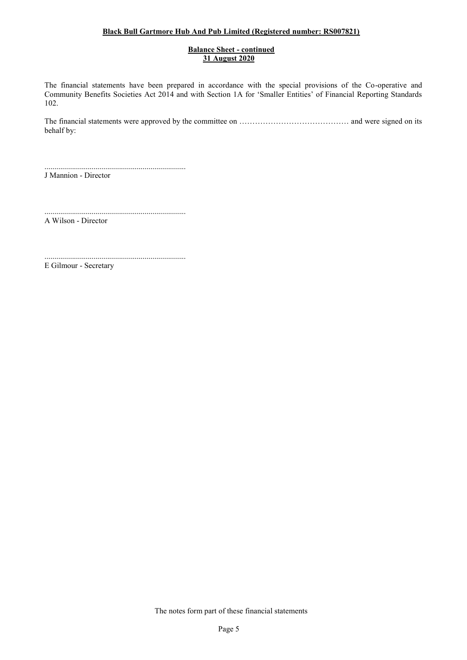# **Black Bull Gartmore Hub And Pub Limited (Registered number: RS007821)**

### **Balance Sheet - continued 31 August 2020**

The financial statements have been prepared in accordance with the special provisions of the Co-operative and Community Benefits Societies Act 2014 and with Section 1A for 'Smaller Entities' of Financial Reporting Standards 102.

The financial statements were approved by the committee on …………………………………… and were signed on its behalf by:

........................................................................ J Mannion - Director

........................................................................

A Wilson - Director

........................................................................ E Gilmour - Secretary

The notes form part of these financial statements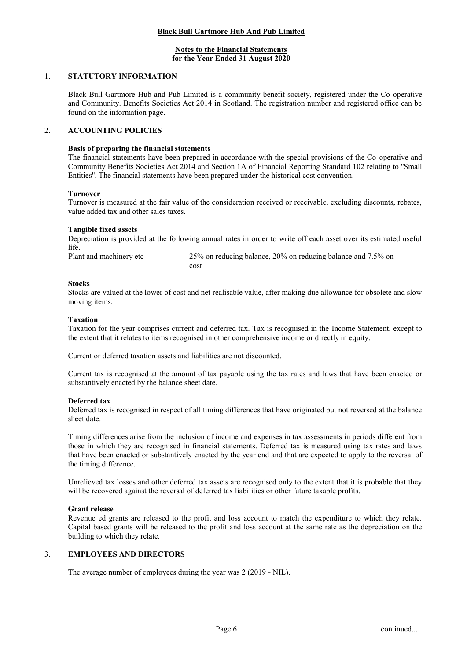### **Notes to the Financial Statements for the Year Ended 31 August 2020**

#### 1. **STATUTORY INFORMATION**

Black Bull Gartmore Hub and Pub Limited is a community benefit society, registered under the Co-operative and Community. Benefits Societies Act 2014 in Scotland. The registration number and registered office can be found on the information page.

### 2. **ACCOUNTING POLICIES**

#### **Basis of preparing the financial statements**

The financial statements have been prepared in accordance with the special provisions of the Co-operative and Community Benefits Societies Act 2014 and Section 1A of Financial Reporting Standard 102 relating to ''Small Entities''. The financial statements have been prepared under the historical cost convention.

#### **Turnover**

Turnover is measured at the fair value of the consideration received or receivable, excluding discounts, rebates, value added tax and other sales taxes.

#### **Tangible fixed assets**

Depreciation is provided at the following annual rates in order to write off each asset over its estimated useful life.

Plant and machinery etc -25% on reducing balance, 20% on reducing balance and 7.5% on cost

#### **Stocks**

Stocks are valued at the lower of cost and net realisable value, after making due allowance for obsolete and slow moving items.

#### **Taxation**

Taxation for the year comprises current and deferred tax. Tax is recognised in the Income Statement, except to the extent that it relates to items recognised in other comprehensive income or directly in equity.

Current or deferred taxation assets and liabilities are not discounted.

Current tax is recognised at the amount of tax payable using the tax rates and laws that have been enacted or substantively enacted by the balance sheet date.

#### **Deferred tax**

Deferred tax is recognised in respect of all timing differences that have originated but not reversed at the balance sheet date.

Timing differences arise from the inclusion of income and expenses in tax assessments in periods different from those in which they are recognised in financial statements. Deferred tax is measured using tax rates and laws that have been enacted or substantively enacted by the year end and that are expected to apply to the reversal of the timing difference.

Unrelieved tax losses and other deferred tax assets are recognised only to the extent that it is probable that they will be recovered against the reversal of deferred tax liabilities or other future taxable profits.

### **Grant release**

Revenue ed grants are released to the profit and loss account to match the expenditure to which they relate. Capital based grants will be released to the profit and loss account at the same rate as the depreciation on the building to which they relate.

### 3. **EMPLOYEES AND DIRECTORS**

The average number of employees during the year was 2 (2019 - NIL).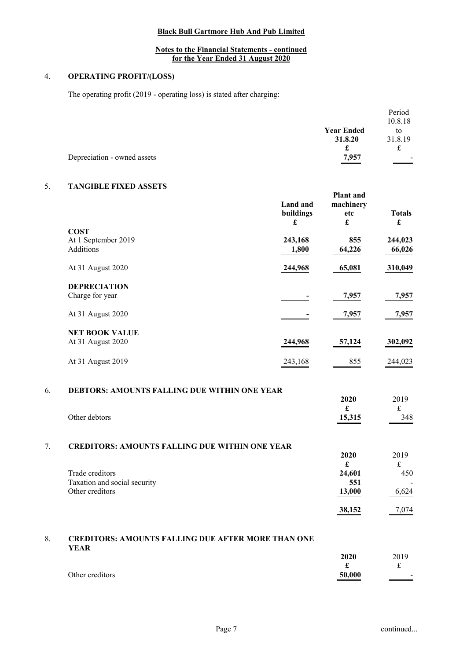# **Notes to the Financial Statements - continued for the Year Ended 31 August 2020**

# 4. **OPERATING PROFIT/(LOSS)**

The operating profit (2019 - operating loss) is stated after charging:

|                             |                   | Period         |
|-----------------------------|-------------------|----------------|
|                             |                   | 10.8.18        |
|                             | <b>Year Ended</b> | to             |
|                             | 31.8.20           | 31.8.19        |
|                             | £                 | £              |
| Depreciation - owned assets | <u>7,957</u>      | $\blacksquare$ |
|                             |                   |                |

## 5. **TANGIBLE FIXED ASSETS**

|    |                                                                          | <b>Land</b> and<br>buildings<br>£ | Plant and<br>machinery<br>etc<br>$\pmb{\mathfrak{L}}$ | <b>Totals</b><br>£ |
|----|--------------------------------------------------------------------------|-----------------------------------|-------------------------------------------------------|--------------------|
|    | <b>COST</b>                                                              |                                   |                                                       |                    |
|    | At 1 September 2019                                                      | 243,168                           | 855                                                   | 244,023            |
|    | <b>Additions</b>                                                         | 1,800                             | 64,226                                                | 66,026             |
|    | At 31 August 2020                                                        | 244,968                           | 65,081                                                | 310,049            |
|    | <b>DEPRECIATION</b>                                                      |                                   |                                                       |                    |
|    | Charge for year                                                          |                                   | 7,957                                                 | 7,957              |
|    | At 31 August 2020                                                        |                                   | 7,957                                                 | 7,957              |
|    | <b>NET BOOK VALUE</b>                                                    |                                   |                                                       |                    |
|    | At 31 August 2020                                                        | 244,968                           | 57,124                                                | 302,092            |
|    | At 31 August 2019                                                        | 243,168                           | 855                                                   | 244,023            |
| 6. | DEBTORS: AMOUNTS FALLING DUE WITHIN ONE YEAR                             |                                   | 2020                                                  | 2019               |
|    | Other debtors                                                            |                                   | $\mathbf f$<br>15,315                                 | $\frak{t}$<br>348  |
| 7. | <b>CREDITORS: AMOUNTS FALLING DUE WITHIN ONE YEAR</b>                    |                                   |                                                       |                    |
|    |                                                                          |                                   | 2020                                                  | 2019               |
|    |                                                                          |                                   | $\pmb{\mathfrak{L}}$                                  | $\pounds$          |
|    | Trade creditors                                                          |                                   | 24,601                                                | 450                |
|    | Taxation and social security                                             |                                   | 551                                                   |                    |
|    | Other creditors                                                          |                                   | 13,000                                                | 6,624              |
|    |                                                                          |                                   | 38,152                                                | 7,074              |
| 8. | <b>CREDITORS: AMOUNTS FALLING DUE AFTER MORE THAN ONE</b><br><b>YEAR</b> |                                   |                                                       |                    |

|                 | 2020                               | 2019           |
|-----------------|------------------------------------|----------------|
|                 |                                    | ىم             |
| Other creditors | 50,000<br>$\overline{\phantom{a}}$ | $\blacksquare$ |